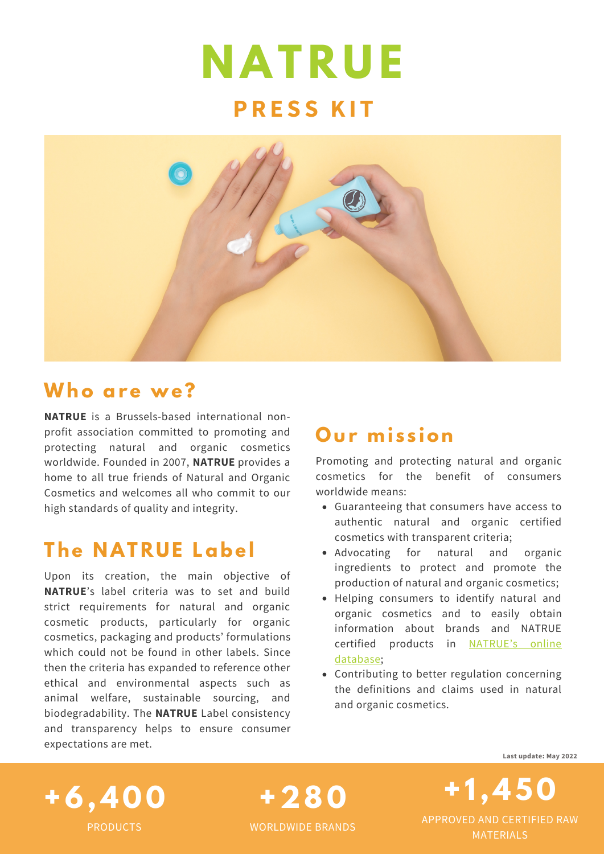# **N AT R U E PRE S S KI T**



**+28 0**

WORLDWIDE BRANDS

### **Who are we?**

**NATRUE** is a Brussels-based international nonprofit association committed to promoting and protecting natural and organic cosmetics worldwide. Founded in 2007, **NATRUE** provides a home to all true friends of Natural and Organic Cosmetics and welcomes all who commit to our high standards of quality and integrity.

### **The N AT R U E Label**

Upon its creation, the main objective of **NATRUE**'s label criteria was to set and build strict requirements for natural and organic cosmetic products, particularly for organic cosmetics, packaging and products' formulations which could not be found in other labels. Since then the criteria has expanded to reference other ethical and environmental aspects such as animal welfare, sustainable sourcing, and biodegradability. The **NATRUE** Label consistency and transparency helps to ensure consumer expectations are met.

### **O ur mi s s ion**

Promoting and protecting natural and organic cosmetics for the benefit of consumers worldwide means:

- Guaranteeing that consumers have access to authentic natural and organic certified cosmetics with transparent criteria;
- Advocating for natural and organic ingredients to protect and promote the production of natural and organic cosmetics;
- Helping consumers to identify natural and organic cosmetics and to easily obtain information about brands and NATRUE certified products in NATRUE's online [database;](https://www.natrue.org/our-standard/natrue-certified-world/)
- Contributing to better regulation concerning the definitions and claims used in natural and organic cosmetics.



**Last update: May 2022**